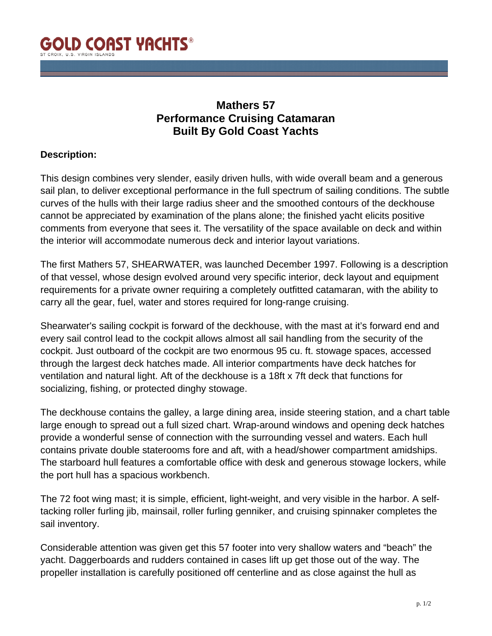

## **Mathers 57 Performance Cruising Catamaran Built By Gold Coast Yachts**

## **Description:**

This design combines very slender, easily driven hulls, with wide overall beam and a generous sail plan, to deliver exceptional performance in the full spectrum of sailing conditions. The subtle curves of the hulls with their large radius sheer and the smoothed contours of the deckhouse cannot be appreciated by examination of the plans alone; the finished yacht elicits positive comments from everyone that sees it. The versatility of the space available on deck and within the interior will accommodate numerous deck and interior layout variations.

The first Mathers 57, SHEARWATER, was launched December 1997. Following is a description of that vessel, whose design evolved around very specific interior, deck layout and equipment requirements for a private owner requiring a completely outfitted catamaran, with the ability to carry all the gear, fuel, water and stores required for long-range cruising.

Shearwater's sailing cockpit is forward of the deckhouse, with the mast at it's forward end and every sail control lead to the cockpit allows almost all sail handling from the security of the cockpit. Just outboard of the cockpit are two enormous 95 cu. ft. stowage spaces, accessed through the largest deck hatches made. All interior compartments have deck hatches for ventilation and natural light. Aft of the deckhouse is a 18ft x 7ft deck that functions for socializing, fishing, or protected dinghy stowage.

The deckhouse contains the galley, a large dining area, inside steering station, and a chart table large enough to spread out a full sized chart. Wrap-around windows and opening deck hatches provide a wonderful sense of connection with the surrounding vessel and waters. Each hull contains private double staterooms fore and aft, with a head/shower compartment amidships. The starboard hull features a comfortable office with desk and generous stowage lockers, while the port hull has a spacious workbench.

The 72 foot wing mast; it is simple, efficient, light-weight, and very visible in the harbor. A selftacking roller furling jib, mainsail, roller furling genniker, and cruising spinnaker completes the sail inventory.

Considerable attention was given get this 57 footer into very shallow waters and "beach" the yacht. Daggerboards and rudders contained in cases lift up get those out of the way. The propeller installation is carefully positioned off centerline and as close against the hull as